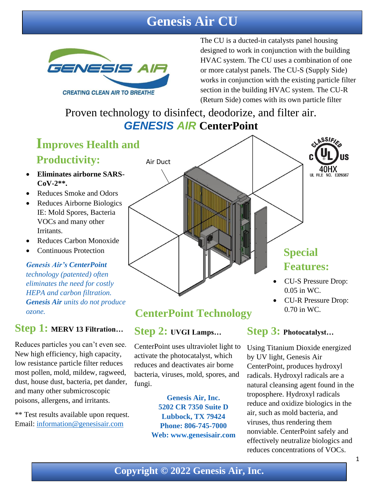### **Genesis Air CU**



The CU is a ducted-in catalysts panel housing designed to work in conjunction with the building HVAC system. The CU uses a combination of one or more catalyst panels. The CU-S (Supply Side) works in conjunction with the existing particle filter section in the building HVAC system. The CU-R (Return Side) comes with its own particle filter

Proven technology to disinfect, deodorize, and filter air. *GENESIS AIR* **CenterPoint**

# **Improves Health and**

### **Productivity:**

- **Eliminates airborne SARS-CoV-2\*\*.**
- Reduces Smoke and Odors
- Reduces Airborne Biologics IE: Mold Spores, Bacteria VOCs and many other Irritants.
- Reduces Carbon Monoxide
- Continuous Protection

#### *Genesis Air's CenterPoint technology (patented) often eliminates the need for costly HEPA and carbon filtration. Genesis Air units do not produce ozone.*

### **Step 1: MERV 13 Filtration…**

Reduces particles you can't even see. New high efficiency, high capacity, low resistance particle filter reduces most pollen, mold, mildew, ragweed, dust, house dust, bacteria, pet dander, and many other submicroscopic poisons, allergens, and irritants.

\*\* Test results available upon request. Email: [information@genesisair.com](mailto:information@genesisair.com)



### **CenterPoint Technology**

### **Step 2: UVGI Lamps…**

CenterPoint uses ultraviolet light to activate the photocatalyst, which reduces and deactivates air borne bacteria, viruses, mold, spores, and fungi.

> **Genesis Air, Inc. 5202 CR 7350 Suite D Lubbock, TX 79424 Phone: 806-745-7000 Web: [www.genesisa](http://www.genesis/)ir.com**

### **Step 3: Photocatalyst…**

0.70 in WC.

Using Titanium Dioxide energized by UV light, Genesis Air CenterPoint, produces hydroxyl radicals. Hydroxyl radicals are a natural cleansing agent found in the troposphere. Hydroxyl radicals reduce and oxidize biologics in the air, such as mold bacteria, and viruses, thus rendering them nonviable. CenterPoint safely and effectively neutralize biologics and reduces concentrations of VOCs.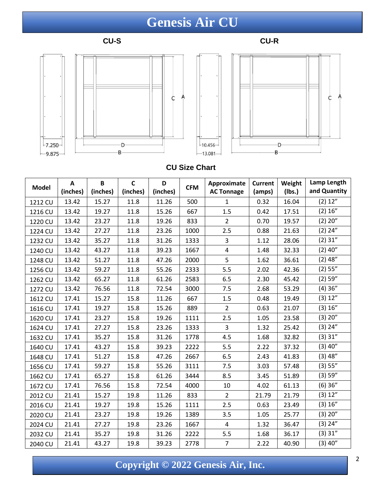## **Genesis Air CU**







#### **CU Size Chart**

| <b>Model</b> | A        | B        | $\mathsf{C}$ | D        | <b>CFM</b> | Approximate             | <b>Current</b> | Weight | Lamp Length<br>and Quantity |
|--------------|----------|----------|--------------|----------|------------|-------------------------|----------------|--------|-----------------------------|
|              | (inches) | (inches) | (inches)     | (inches) |            | <b>AC Tonnage</b>       | (amps)         | (Ibs.) |                             |
| 1212 CU      | 13.42    | 15.27    | 11.8         | 11.26    | 500        | $\mathbf{1}$            | 0.32           | 16.04  | (2) 12"                     |
| 1216 CU      | 13.42    | 19.27    | 11.8         | 15.26    | 667        | 1.5                     | 0.42           | 17.51  | (2) 16"                     |
| 1220 CU      | 13.42    | 23.27    | 11.8         | 19.26    | 833        | $\overline{2}$          | 0.70           | 19.57  | (2) 20"                     |
| 1224 CU      | 13.42    | 27.27    | 11.8         | 23.26    | 1000       | 2.5                     | 0.88           | 21.63  | $(2)$ 24"                   |
| 1232 CU      | 13.42    | 35.27    | 11.8         | 31.26    | 1333       | 3                       | 1.12           | 28.06  | (2) 31"                     |
| 1240 CU      | 13.42    | 43.27    | 11.8         | 39.23    | 1667       | $\overline{\mathbf{4}}$ | 1.48           | 32.33  | $(2)$ 40"                   |
| 1248 CU      | 13.42    | 51.27    | 11.8         | 47.26    | 2000       | 5                       | 1.62           | 36.61  | (2) 48"                     |
| 1256 CU      | 13.42    | 59.27    | 11.8         | 55.26    | 2333       | 5.5                     | 2.02           | 42.36  | (2) 55"                     |
| 1262 CU      | 13.42    | 65.27    | 11.8         | 61.26    | 2583       | 6.5                     | 2.30           | 45.42  | (2) 59"                     |
| 1272 CU      | 13.42    | 76.56    | 11.8         | 72.54    | 3000       | 7.5                     | 2.68           | 53.29  | (4)36"                      |
| 1612 CU      | 17.41    | 15.27    | 15.8         | 11.26    | 667        | 1.5                     | 0.48           | 19.49  | (3) 12"                     |
| 1616 CU      | 17.41    | 19.27    | 15.8         | 15.26    | 889        | $\overline{2}$          | 0.63           | 21.07  | (3) 16"                     |
| 1620 CU      | 17.41    | 23.27    | 15.8         | 19.26    | 1111       | 2.5                     | 1.05           | 23.58  | (3) 20"                     |
| 1624 CU      | 17.41    | 27.27    | 15.8         | 23.26    | 1333       | 3                       | 1.32           | 25.42  | (3) 24"                     |
| 1632 CU      | 17.41    | 35.27    | 15.8         | 31.26    | 1778       | 4.5                     | 1.68           | 32.82  | (3) 31"                     |
| 1640 CU      | 17.41    | 43.27    | 15.8         | 39.23    | 2222       | 5.5                     | 2.22           | 37.32  | $(3)$ 40"                   |
| 1648 CU      | 17.41    | 51.27    | 15.8         | 47.26    | 2667       | 6.5                     | 2.43           | 41.83  | (3) 48"                     |
| 1656 CU      | 17.41    | 59.27    | 15.8         | 55.26    | 3111       | 7.5                     | 3.03           | 57.48  | (3) 55"                     |
| 1662 CU      | 17.41    | 65.27    | 15.8         | 61.26    | 3444       | 8.5                     | 3.45           | 51.89  | (3) 59"                     |
| 1672 CU      | 17.41    | 76.56    | 15.8         | 72.54    | 4000       | 10                      | 4.02           | 61.13  | $(6)$ 36"                   |
| 2012 CU      | 21.41    | 15.27    | 19.8         | 11.26    | 833        | $\overline{2}$          | 21.79          | 21.79  | (3) 12"                     |
| 2016 CU      | 21.41    | 19.27    | 19.8         | 15.26    | 1111       | 2.5                     | 0.63           | 23.49  | (3) 16"                     |
| 2020 CU      | 21.41    | 23.27    | 19.8         | 19.26    | 1389       | 3.5                     | 1.05           | 25.77  | (3) 20"                     |
| 2024 CU      | 21.41    | 27.27    | 19.8         | 23.26    | 1667       | 4                       | 1.32           | 36.47  | (3) 24"                     |
| 2032 CU      | 21.41    | 35.27    | 19.8         | 31.26    | 2222       | 5.5                     | 1.68           | 36.17  | (3) 31"                     |
| 2040 CU      | 21.41    | 43.27    | 19.8         | 39.23    | 2778       | $\overline{7}$          | 2.22           | 40.90  | $(3)$ 40"                   |

**Copyright © 2022 Genesis Air, Inc.**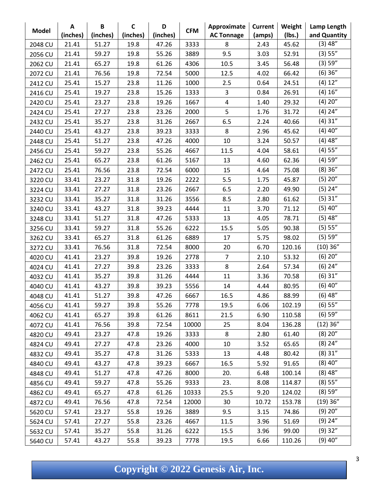| <b>Model</b> | A        | B        | $\mathsf{C}$ | D        |            | Approximate       | <b>Current</b> | Weight | Lamp Length  |
|--------------|----------|----------|--------------|----------|------------|-------------------|----------------|--------|--------------|
|              | (inches) | (inches) | (inches)     | (inches) | <b>CFM</b> | <b>AC Tonnage</b> | (amps)         | (Ibs.) | and Quantity |
| 2048 CU      | 21.41    | 51.27    | 19.8         | 47.26    | 3333       | 8                 | 2.43           | 45.62  | (3) 48"      |
| 2056 CU      | 21.41    | 59.27    | 19.8         | 55.26    | 3889       | 9.5               | 3.03           | 52.91  | (3) 55"      |
| 2062 CU      | 21.41    | 65.27    | 19.8         | 61.26    | 4306       | 10.5              | 3.45           | 56.48  | (3) 59"      |
| 2072 CU      | 21.41    | 76.56    | 19.8         | 72.54    | 5000       | 12.5              | 4.02           | 66.42  | (6) 36"      |
| 2412 CU      | 25.41    | 15.27    | 23.8         | 11.26    | 1000       | 2.5               | 0.64           | 24.51  | (4) 12"      |
| 2416 CU      | 25.41    | 19.27    | 23.8         | 15.26    | 1333       | 3                 | 0.84           | 26.91  | (4) 16"      |
| 2420 CU      | 25.41    | 23.27    | 23.8         | 19.26    | 1667       | 4                 | 1.40           | 29.32  | (4) 20"      |
| 2424 CU      | 25.41    | 27.27    | 23.8         | 23.26    | 2000       | 5                 | 1.76           | 31.72  | $(4)$ 24"    |
| 2432 CU      | 25.41    | 35.27    | 23.8         | 31.26    | 2667       | 6.5               | 2.24           | 40.66  | (4) 31"      |
| 2440 CU      | 25.41    | 43.27    | 23.8         | 39.23    | 3333       | 8                 | 2.96           | 45.62  | $(4)$ 40"    |
| 2448 CU      | 25.41    | 51.27    | 23.8         | 47.26    | 4000       | 10                | 3.24           | 50.57  | $(4)$ 48"    |
| 2456 CU      | 25.41    | 59.27    | 23.8         | 55.26    | 4667       | 11.5              | 4.04           | 58.61  | (4) 55"      |
| 2462 CU      | 25.41    | 65.27    | 23.8         | 61.26    | 5167       | 13                | 4.60           | 62.36  | $(4)$ 59"    |
| 2472 CU      | 25.41    | 76.56    | 23.8         | 72.54    | 6000       | 15                | 4.64           | 75.08  | (8)36"       |
| 3220 CU      | 33.41    | 23.27    | 31.8         | 19.26    | 2222       | 5.5               | 1.75           | 45.87  | (5) 20"      |
| 3224 CU      | 33.41    | 27.27    | 31.8         | 23.26    | 2667       | 6.5               | 2.20           | 49.90  | $(5)$ 24"    |
| 3232 CU      | 33.41    | 35.27    | 31.8         | 31.26    | 3556       | 8.5               | 2.80           | 61.62  | (5) 31"      |
| 3240 CU      | 33.41    | 43.27    | 31.8         | 39.23    | 4444       | 11                | 3.70           | 71.12  | $(5)$ 40"    |
| 3248 CU      | 33.41    | 51.27    | 31.8         | 47.26    | 5333       | 13                | 4.05           | 78.71  | (5) 48"      |
| 3256 CU      | 33.41    | 59.27    | 31.8         | 55.26    | 6222       | 15.5              | 5.05           | 90.38  | (5) 55"      |
| 3262 CU      | 33.41    | 65.27    | 31.8         | 61.26    | 6889       | 17                | 5.75           | 98.02  | (5) 59"      |
| 3272 CU      | 33.41    | 76.56    | 31.8         | 72.54    | 8000       | 20                | 6.70           | 120.16 | (10)36"      |
| 4020 CU      | 41.41    | 23.27    | 39.8         | 19.26    | 2778       | $\overline{7}$    | 2.10           | 53.32  | (6) 20"      |
| 4024 CU      | 41.41    | 27.27    | 39.8         | 23.26    | 3333       | 8                 | 2.64           | 57.34  | $(6)$ 24"    |
| 4032 CU      | 41.41    | 35.27    | 39.8         | 31.26    | 4444       | 11                | 3.36           | 70.58  | (6) 31"      |
| 4040 CU      | 41.41    | 43.27    | 39.8         | 39.23    | 5556       | 14                | 4.44           | 80.95  | $(6)$ 40"    |
| 4048 CU      | 41.41    | 51.27    | 39.8         | 47.26    | 6667       | 16.5              | 4.86           | 88.99  | $(6)$ 48"    |
| 4056 CU      | 41.41    | 59.27    | 39.8         | 55.26    | 7778       | 19.5              | 6.06           | 102.19 | (6) 55"      |
| 4062 CU      | 41.41    | 65.27    | 39.8         | 61.26    | 8611       | 21.5              | 6.90           | 110.58 | (6) 59"      |
| 4072 CU      | 41.41    | 76.56    | 39.8         | 72.54    | 10000      | 25                | 8.04           | 136.28 | $(12)$ 36"   |
| 4820 CU      | 49.41    | 23.27    | 47.8         | 19.26    | 3333       | 8                 | 2.80           | 61.40  | (8) 20"      |
| 4824 CU      | 49.41    | 27.27    | 47.8         | 23.26    | 4000       | 10                | 3.52           | 65.65  | $(8)$ 24"    |
| 4832 CU      | 49.41    | 35.27    | 47.8         | 31.26    | 5333       | 13                | 4.48           | 80.42  | $(8)$ 31"    |
| 4840 CU      | 49.41    | 43.27    | 47.8         | 39.23    | 6667       | 16.5              | 5.92           | 91.65  | $(8)$ 40"    |
| 4848 CU      | 49.41    | 51.27    | 47.8         | 47.26    | 8000       | 20.               | 6.48           | 100.14 | $(8)$ 48"    |
| 4856 CU      | 49.41    | 59.27    | 47.8         | 55.26    | 9333       | 23.               | 8.08           | 114.87 | (8) 55"      |
| 4862 CU      | 49.41    | 65.27    | 47.8         | 61.26    | 10333      | 25.5              | 9.20           | 124.02 | (8) 59"      |
| 4872 CU      | 49.41    | 76.56    | 47.8         | 72.54    | 12000      | 30                | 10.72          | 153.78 | $(19)$ 36"   |
| 5620 CU      | 57.41    | 23.27    | 55.8         | 19.26    | 3889       | 9.5               | 3.15           | 74.86  | (9) 20"      |
| 5624 CU      | 57.41    | 27.27    | 55.8         | 23.26    | 4667       | 11.5              | 3.96           | 51.69  | $(9)$ 24"    |
| 5632 CU      | 57.41    | 35.27    | 55.8         | 31.26    | 6222       | 15.5              | 3.96           | 99.00  | $(9)$ 32"    |
| 5640 CU      | 57.41    | 43.27    | 55.8         | 39.23    | 7778       | 19.5              | 6.66           | 110.26 | $(9)$ 40"    |

**Copyright © 2022 Genesis Air, Inc.**